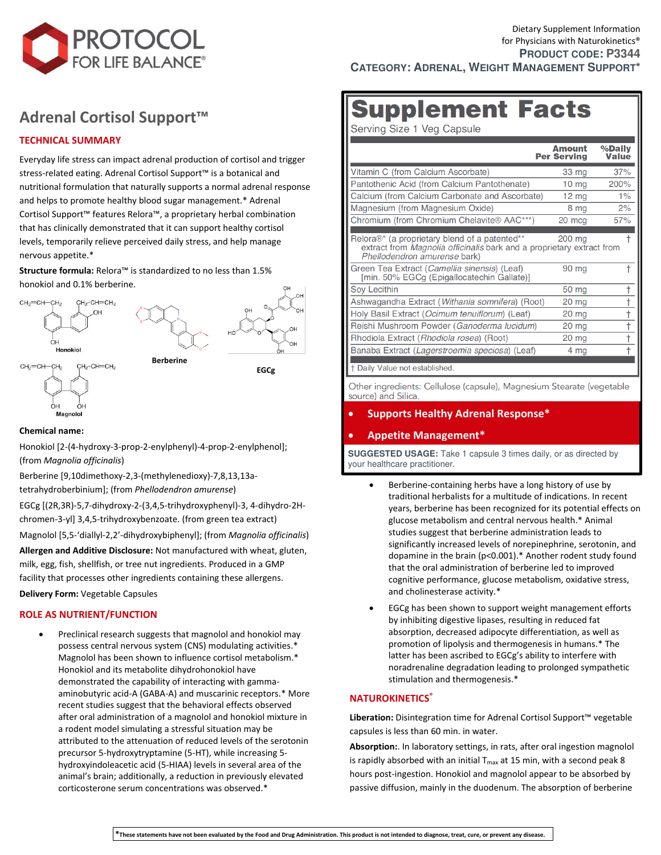

## **[Adrenal Cortisol Support](https://www.protocolforlife.com/adrenal-cortisol-support-with-relora/)™**

### **TECHNICAL SUMMARY**

Everyday life stress can impact adrenal production of cortisol and trigger stress-related eating. Adrenal Cortisol Support™ is a botanical and nutritional formulation that naturally supports a normal adrenal response and helps to promote healthy blood sugar management.\* Adrenal Cortisol Support™ features Relora™, a proprietary herbal combination that has clinically demonstrated that it can support healthy cortisol levels, temporarily relieve perceived daily stress, and help manage nervous appetite.\*

**Structure formula:** Relora™ is standardized to no less than 1.5% honokiol and 0.1% berberine.





**Berberine** 

**EGCg** 

#### **Chemical name:**

Honokiol [2-(4-hydroxy-3-prop-2-enylphenyl)-4-prop-2-enylphenol]; (from *Magnolia officinalis*)

Berberine [9,10dimethoxy-2,3-(methylenedioxy)-7,8,13,13atetrahydroberbinium]; (from *Phellodendron amurense*)

EGCg [(2R,3R)-5,7-dihydroxy-2-(3,4,5-trihydroxyphenyl)-3, 4-dihydro-2Hchromen-3-yl] 3,4,5-trihydroxybenzoate. (from green tea extract) Magnolol [5,5-'diallyl-2,2'-dihydroxybiphenyl]; (from *Magnolia officinalis*) **Allergen and Additive Disclosure:** Not manufactured with wheat, gluten, milk, egg, fish, shellfish, or tree nut ingredients. Produced in a GMP facility that processes other ingredients containing these allergens.

**Delivery Form:** Vegetable Capsules

#### **ROLE AS NUTRIENT/FUNCTION**

 Preclinical research suggests that magnolol and honokiol may possess central nervous system (CNS) modulating activities.\* Magnolol has been shown to influence cortisol metabolism.\* Honokiol and its metabolite dihydrohonokiol have demonstrated the capability of interacting with gammaaminobutyric acid-A (GABA-A) and muscarinic receptors.\* More recent studies suggest that the behavioral effects observed after oral administration of a magnolol and honokiol mixture in a rodent model simulating a stressful situation may be attributed to the attenuation of reduced levels of the serotonin precursor 5-hydroxytryptamine (5-HT), while increasing 5 hydroxyindoleacetic acid (5-HIAA) levels in several area of the animal's brain; additionally, a reduction in previously elevated corticosterone serum concentrations was observed.\*

# **Supplement Facts**

Serving Size 1 Veg Capsule

|                                                                                                                                                               | <b>Amount</b><br><b>Per Serving</b> | %Daily<br><b>Value</b> |
|---------------------------------------------------------------------------------------------------------------------------------------------------------------|-------------------------------------|------------------------|
| Vitamin C (from Calcium Ascorbate)                                                                                                                            | 33 mg                               | 37%                    |
| Pantothenic Acid (from Calcium Pantothenate)                                                                                                                  | $10 \text{ ma}$                     | 200%                   |
| Calcium (from Calcium Carbonate and Ascorbate)                                                                                                                | $12 \text{ mg}$                     | 1%                     |
| Magnesium (from Magnesium Oxide)                                                                                                                              | 8 mg                                | 2%                     |
| Chromium (from Chromium Chelavite® AAC***)                                                                                                                    | 20 mca                              | 57%                    |
| Relora®* (a proprietary blend of a patented**<br>extract from <i>Magnolia officinalis</i> bark and a proprietary extract from<br>Phellodendron amurense bark) | 200 mg                              |                        |
| Green Tea Extract (Camellia sinensis) (Leaf)<br>[min. 50% EGCg (Epigallocatechin Gallate)]                                                                    | 90 mg                               |                        |
| Sov Lecithin                                                                                                                                                  | 50 mg                               |                        |
| Ashwagandha Extract (Withania somnifera) (Root)                                                                                                               | 20 mg                               |                        |
| Holy Basil Extract (Ocimum tenuiflorum) (Leaf)                                                                                                                | $20 \text{ mg}$                     | t                      |
| Reishi Mushroom Powder (Ganoderma lucidum)                                                                                                                    | $20 \, \text{mg}$                   | t                      |
| Rhodiola Extract (Rhodiola rosea) (Root)                                                                                                                      | $20$ mg                             | t                      |
| Banaba Extract (Lagerstroemia speciosa) (Leaf)<br>† Daily Value not established.                                                                              | 4 mg                                |                        |

Other ingredients: Cellulose (capsule), Magnesium Stearate (vegetable source) and Silica.

**Supports Healthy Adrenal Response\***

#### **Appetite Management\***

**SUGGESTED USAGE:** Take 1 capsule 3 times daily, or as directed by your healthcare practitioner.

- Berberine-containing herbs have a long history of use by traditional herbalists for a multitude of indications. In recent years, berberine has been recognized for its potential effects on glucose metabolism and central nervous health.\* Animal studies suggest that berberine administration leads to significantly increased levels of norepinephrine, serotonin, and dopamine in the brain (p<0.001).\* Another rodent study found that the oral administration of berberine led to improved cognitive performance, glucose metabolism, oxidative stress, and cholinesterase activity.\*
- EGCg has been shown to support weight management efforts by inhibiting digestive lipases, resulting in reduced fat absorption, decreased adipocyte differentiation, as well as promotion of lipolysis and thermogenesis in humans.\* The latter has been ascribed to EGCg's ability to interfere with noradrenaline degradation leading to prolonged sympathetic stimulation and thermogenesis.\*

#### **NATUROKINETICS®**

**Liberation:** Disintegration time for Adrenal Cortisol Support™ vegetable capsules is less than 60 min. in water.

**Absorption:**. In laboratory settings, in rats, after oral ingestion magnolol is rapidly absorbed with an initial  $T_{max}$  at 15 min, with a second peak 8 hours post-ingestion. Honokiol and magnolol appear to be absorbed by passive diffusion, mainly in the duodenum. The absorption of berberine